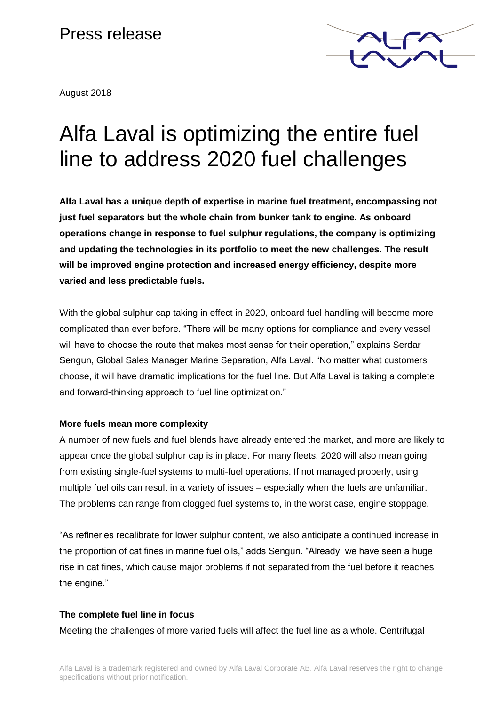# Press release

August 2018



# Alfa Laval is optimizing the entire fuel line to address 2020 fuel challenges

**Alfa Laval has a unique depth of expertise in marine fuel treatment, encompassing not just fuel separators but the whole chain from bunker tank to engine. As onboard operations change in response to fuel sulphur regulations, the company is optimizing and updating the technologies in its portfolio to meet the new challenges. The result will be improved engine protection and increased energy efficiency, despite more varied and less predictable fuels.** 

With the global sulphur cap taking in effect in 2020, onboard fuel handling will become more complicated than ever before. "There will be many options for compliance and every vessel will have to choose the route that makes most sense for their operation," explains Serdar Sengun, Global Sales Manager Marine Separation, Alfa Laval. "No matter what customers choose, it will have dramatic implications for the fuel line. But Alfa Laval is taking a complete and forward-thinking approach to fuel line optimization."

### **More fuels mean more complexity**

A number of new fuels and fuel blends have already entered the market, and more are likely to appear once the global sulphur cap is in place. For many fleets, 2020 will also mean going from existing single-fuel systems to multi-fuel operations. If not managed properly, using multiple fuel oils can result in a variety of issues – especially when the fuels are unfamiliar. The problems can range from clogged fuel systems to, in the worst case, engine stoppage.

"As refineries recalibrate for lower sulphur content, we also anticipate a continued increase in the proportion of cat fines in marine fuel oils," adds Sengun. "Already, we have seen a huge rise in cat fines, which cause major problems if not separated from the fuel before it reaches the engine."

## **The complete fuel line in focus**

Meeting the challenges of more varied fuels will affect the fuel line as a whole. Centrifugal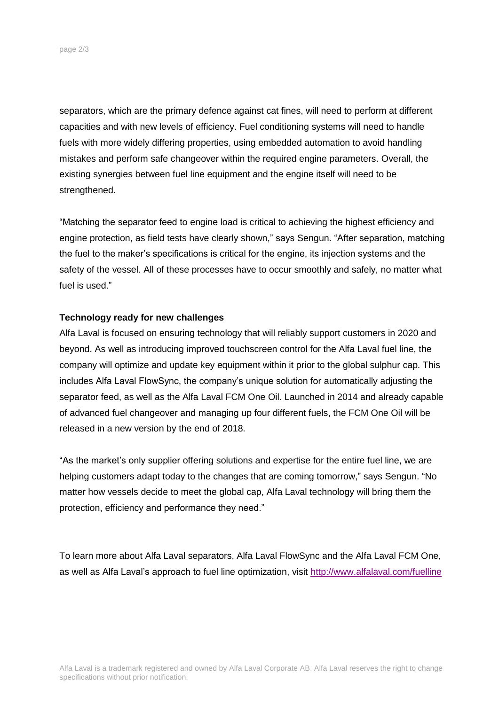separators, which are the primary defence against cat fines, will need to perform at different capacities and with new levels of efficiency. Fuel conditioning systems will need to handle fuels with more widely differing properties, using embedded automation to avoid handling mistakes and perform safe changeover within the required engine parameters. Overall, the existing synergies between fuel line equipment and the engine itself will need to be strengthened.

"Matching the separator feed to engine load is critical to achieving the highest efficiency and engine protection, as field tests have clearly shown," says Sengun. "After separation, matching the fuel to the maker's specifications is critical for the engine, its injection systems and the safety of the vessel. All of these processes have to occur smoothly and safely, no matter what fuel is used."

#### **Technology ready for new challenges**

Alfa Laval is focused on ensuring technology that will reliably support customers in 2020 and beyond. As well as introducing improved touchscreen control for the Alfa Laval fuel line, the company will optimize and update key equipment within it prior to the global sulphur cap. This includes Alfa Laval FlowSync, the company's unique solution for automatically adjusting the separator feed, as well as the Alfa Laval FCM One Oil. Launched in 2014 and already capable of advanced fuel changeover and managing up four different fuels, the FCM One Oil will be released in a new version by the end of 2018.

"As the market's only supplier offering solutions and expertise for the entire fuel line, we are helping customers adapt today to the changes that are coming tomorrow," says Sengun. "No matter how vessels decide to meet the global cap, Alfa Laval technology will bring them the protection, efficiency and performance they need."

To learn more about Alfa Laval separators, Alfa Laval FlowSync and the Alfa Laval FCM One, as well as Alfa Laval's approach to fuel line optimization, visit <http://www.alfalaval.com/fuelline>